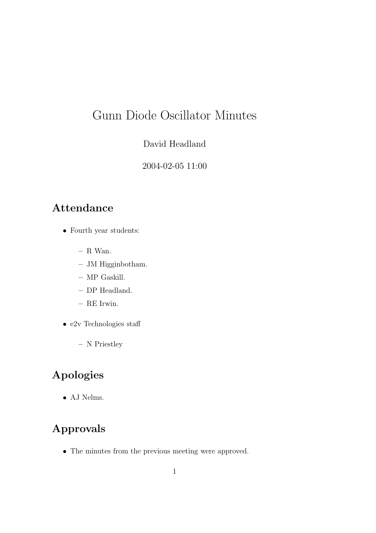# Gunn Diode Oscillator Minutes

#### David Headland

2004-02-05 11:00

## Attendance

- Fourth year students:
	- R Wan.
	- JM Higginbotham.
	- MP Gaskill.
	- DP Headland.
	- RE Irwin.
- e2v Technologies staff
	- N Priestley

## Apologies

• AJ Nelms.

## Approvals

• The minutes from the previous meeting were approved.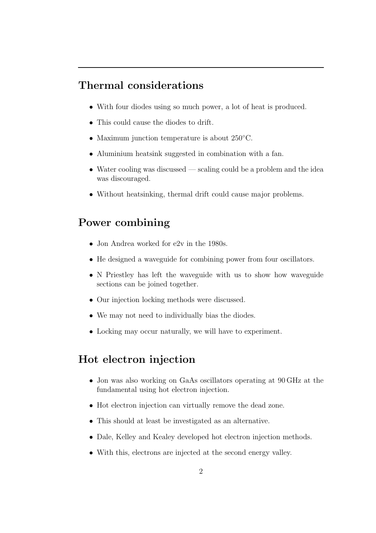#### Thermal considerations

- With four diodes using so much power, a lot of heat is produced.
- This could cause the diodes to drift.
- Maximum junction temperature is about 250°C.
- Aluminium heatsink suggested in combination with a fan.
- Water cooling was discussed  $\sim$  scaling could be a problem and the idea was discouraged.
- Without heatsinking, thermal drift could cause major problems.

## Power combining

- Jon Andrea worked for e2v in the 1980s.
- He designed a waveguide for combining power from four oscillators.
- N Priestley has left the waveguide with us to show how waveguide sections can be joined together.
- Our injection locking methods were discussed.
- We may not need to individually bias the diodes.
- Locking may occur naturally, we will have to experiment.

#### Hot electron injection

- Jon was also working on GaAs oscillators operating at 90 GHz at the fundamental using hot electron injection.
- Hot electron injection can virtually remove the dead zone.
- This should at least be investigated as an alternative.
- Dale, Kelley and Kealey developed hot electron injection methods.
- With this, electrons are injected at the second energy valley.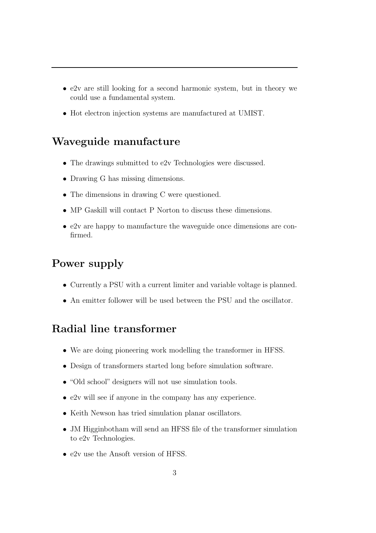- e2v are still looking for a second harmonic system, but in theory we could use a fundamental system.
- Hot electron injection systems are manufactured at UMIST.

### Waveguide manufacture

- The drawings submitted to e2v Technologies were discussed.
- Drawing G has missing dimensions.
- The dimensions in drawing C were questioned.
- MP Gaskill will contact P Norton to discuss these dimensions.
- e2v are happy to manufacture the waveguide once dimensions are confirmed.

## Power supply

- Currently a PSU with a current limiter and variable voltage is planned.
- An emitter follower will be used between the PSU and the oscillator.

## Radial line transformer

- We are doing pioneering work modelling the transformer in HFSS.
- Design of transformers started long before simulation software.
- "Old school" designers will not use simulation tools.
- e2v will see if anyone in the company has any experience.
- Keith Newson has tried simulation planar oscillators.
- JM Higginbotham will send an HFSS file of the transformer simulation to e2v Technologies.
- e2v use the Ansoft version of HFSS.